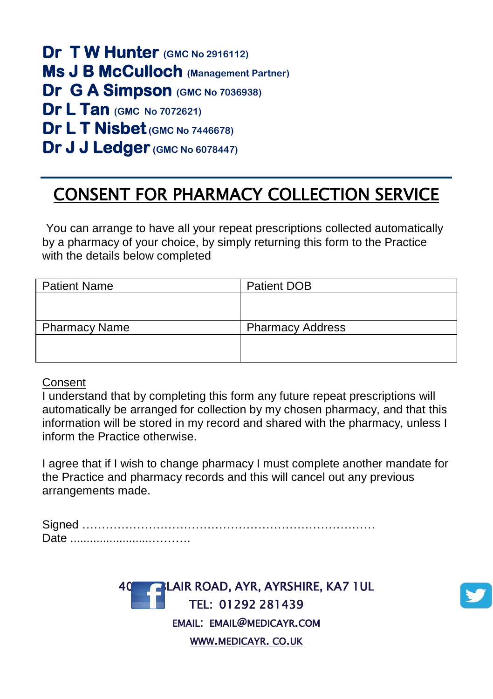**Dr T W Hunter (GMC No 2916112) Ms J B McCulloch (Management Partner) Dr G A Simpson (GMC No 7036938) Dr L Tan (GMC No 7072621) Dr L T Nisbet(GMC No 7446678) Dr J J Ledger (GMC No 6078447)** 

## CONSENT FOR PHARMACY COLLECTION SERVICE

You can arrange to have all your repeat prescriptions collected automatically by a pharmacy of your choice, by simply returning this form to the Practice with the details below completed

| <b>Patient Name</b>  | Patient DOB             |
|----------------------|-------------------------|
|                      |                         |
|                      |                         |
| <b>Pharmacy Name</b> | <b>Pharmacy Address</b> |
|                      |                         |
|                      |                         |

## Consent

I understand that by completing this form any future repeat prescriptions will automatically be arranged for collection by my chosen pharmacy, and that this information will be stored in my record and shared with the pharmacy, unless I inform the Practice otherwise.

I agree that if I wish to change pharmacy I must complete another mandate for the Practice and pharmacy records and this will cancel out any previous arrangements made.

Signed ………………………………………………………………… Date .........................……….

> **BLAIR ROAD, AYR, AYRSHIRE, KA7 1UL** TEL: 01292 281439 EMAIL: EMAIL@MEDICAYR.COM WWW.[MEDICAYR](http://www.medicayr.co.uk/). CO.UK